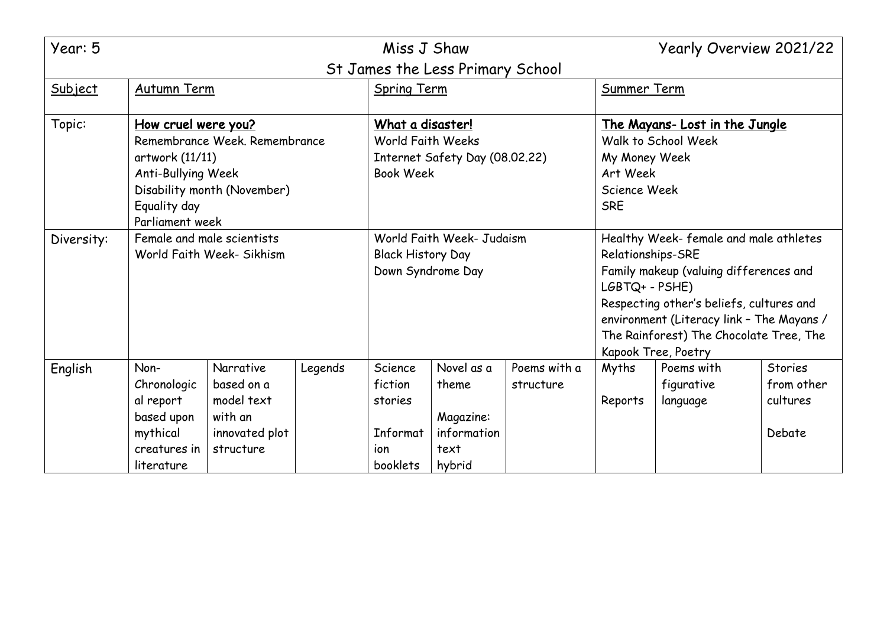| Year: 5                          |                               |                             |                                |                          | Miss J Shaw                               |                                          |                                      | Yearly Overview 2021/22 |                |
|----------------------------------|-------------------------------|-----------------------------|--------------------------------|--------------------------|-------------------------------------------|------------------------------------------|--------------------------------------|-------------------------|----------------|
| St James the Less Primary School |                               |                             |                                |                          |                                           |                                          |                                      |                         |                |
| Subject                          | <b>Autumn Term</b>            |                             | <b>Spring Term</b>             |                          | Summer Term                               |                                          |                                      |                         |                |
|                                  |                               |                             |                                |                          |                                           |                                          |                                      |                         |                |
| Topic:                           | <u>How cruel were you?</u>    |                             |                                | What a disaster!         |                                           |                                          | <u>The Mayans-Lost in the Jungle</u> |                         |                |
|                                  | Remembrance Week, Remembrance |                             | World Faith Weeks              |                          |                                           | Walk to School Week                      |                                      |                         |                |
|                                  | artwork (11/11)               |                             | Internet Safety Day (08.02.22) |                          |                                           | My Money Week                            |                                      |                         |                |
|                                  | <b>Anti-Bullying Week</b>     |                             | <b>Book Week</b>               |                          |                                           | Art Week                                 |                                      |                         |                |
|                                  |                               | Disability month (November) |                                |                          |                                           |                                          | Science Week                         |                         |                |
|                                  | Equality day                  |                             |                                |                          |                                           |                                          | <b>SRE</b>                           |                         |                |
|                                  | Parliament week               |                             |                                |                          |                                           |                                          |                                      |                         |                |
| Diversity:                       | Female and male scientists    |                             | World Faith Week- Judaism      |                          | Healthy Week-female and male athletes     |                                          |                                      |                         |                |
|                                  | World Faith Week- Sikhism     |                             |                                | <b>Black History Day</b> |                                           |                                          | Relationships-SRE                    |                         |                |
|                                  |                               |                             | Down Syndrome Day              |                          | Family makeup (valuing differences and    |                                          |                                      |                         |                |
|                                  |                               |                             |                                |                          | LGBTQ+ - PSHE)                            |                                          |                                      |                         |                |
|                                  |                               |                             |                                |                          |                                           | Respecting other's beliefs, cultures and |                                      |                         |                |
|                                  |                               |                             |                                |                          | environment (Literacy link - The Mayans / |                                          |                                      |                         |                |
|                                  |                               |                             |                                |                          | The Rainforest) The Chocolate Tree, The   |                                          |                                      |                         |                |
|                                  |                               |                             |                                |                          |                                           |                                          |                                      | Kapook Tree, Poetry     |                |
| English                          | Non-                          | Narrative                   | Legends                        | Science                  | Novel as a                                | Poems with a                             | Myths                                | Poems with              | <b>Stories</b> |
|                                  | Chronologic                   | based on a                  |                                | fiction                  | theme                                     | structure                                |                                      | figurative              | from other     |
|                                  | al report                     | model text                  |                                | stories                  |                                           |                                          | Reports                              | language                | cultures       |
|                                  | based upon                    | with an                     |                                |                          | Magazine:                                 |                                          |                                      |                         |                |
|                                  | mythical                      | innovated plot              |                                | Informat                 | information                               |                                          |                                      |                         | Debate         |
|                                  | creatures in                  | structure                   |                                | ion                      | text                                      |                                          |                                      |                         |                |
|                                  | literature                    |                             |                                | booklets                 | hybrid                                    |                                          |                                      |                         |                |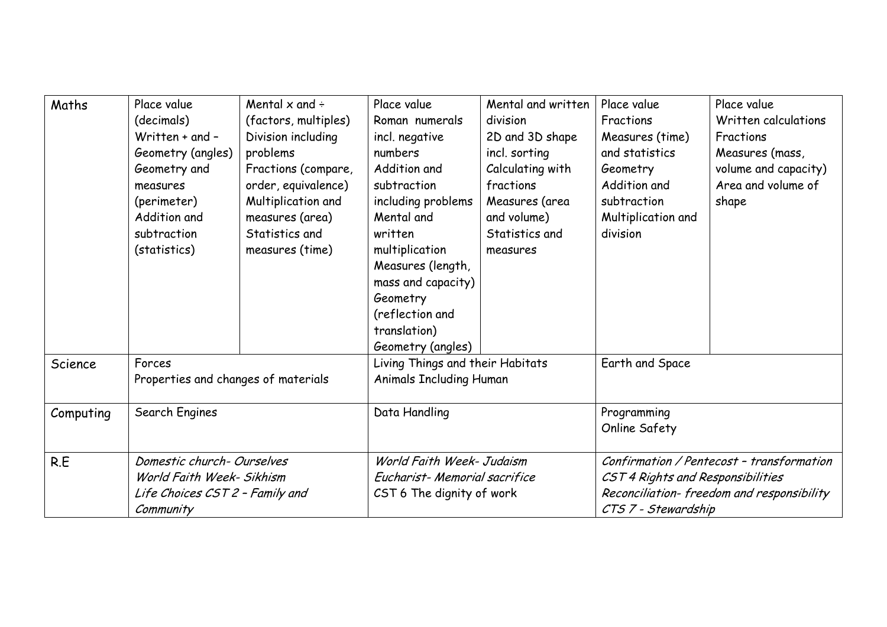| Maths     | Place value                                   | Mental $\times$ and $\div$ | Place value                                                        | Mental and written | Place value                               | Place value          |
|-----------|-----------------------------------------------|----------------------------|--------------------------------------------------------------------|--------------------|-------------------------------------------|----------------------|
|           | (decimals)                                    | (factors, multiples)       | Roman numerals                                                     | division           | Fractions                                 | Written calculations |
|           | Written + and -                               | Division including         | incl. negative                                                     | 2D and 3D shape    | Measures (time)                           | Fractions            |
|           | Geometry (angles)                             | problems                   | numbers                                                            | incl. sorting      | and statistics                            | Measures (mass,      |
|           | Geometry and                                  | Fractions (compare,        | Addition and                                                       | Calculating with   | Geometry                                  | volume and capacity) |
|           | measures                                      | order, equivalence)        | subtraction                                                        | fractions          | Addition and                              | Area and volume of   |
|           | (perimeter)                                   | Multiplication and         | including problems                                                 | Measures (area     | subtraction                               | shape                |
|           | Addition and                                  | measures (area)            | Mental and                                                         | and volume)        | Multiplication and                        |                      |
|           | subtraction                                   | Statistics and             | written                                                            | Statistics and     | division                                  |                      |
|           | (statistics)                                  | measures (time)            | multiplication                                                     | measures           |                                           |                      |
|           |                                               |                            | Measures (length,                                                  |                    |                                           |                      |
|           |                                               |                            | mass and capacity)                                                 |                    |                                           |                      |
|           |                                               |                            | Geometry                                                           |                    |                                           |                      |
|           |                                               |                            | (reflection and                                                    |                    |                                           |                      |
|           |                                               |                            | translation)                                                       |                    |                                           |                      |
|           |                                               |                            | Geometry (angles)                                                  |                    |                                           |                      |
| Science   | Forces<br>Properties and changes of materials |                            | Living Things and their Habitats<br><b>Animals Including Human</b> |                    | Earth and Space                           |                      |
|           |                                               |                            |                                                                    |                    |                                           |                      |
| Computing | Search Engines                                |                            | Data Handling                                                      |                    | Programming                               |                      |
|           |                                               |                            |                                                                    |                    | Online Safety                             |                      |
|           |                                               |                            |                                                                    |                    |                                           |                      |
| R.E       | Domestic church-Ourselves                     |                            | World Faith Week- Judaism                                          |                    | Confirmation / Pentecost - transformation |                      |
|           | World Faith Week- Sikhism                     |                            | Eucharist-Memorial sacrifice                                       |                    | CST 4 Rights and Responsibilities         |                      |
|           | Life Choices CST 2 - Family and               |                            | CST 6 The dignity of work                                          |                    | Reconciliation-freedom and responsibility |                      |
|           | Community                                     |                            |                                                                    |                    | CTS 7 - Stewardship                       |                      |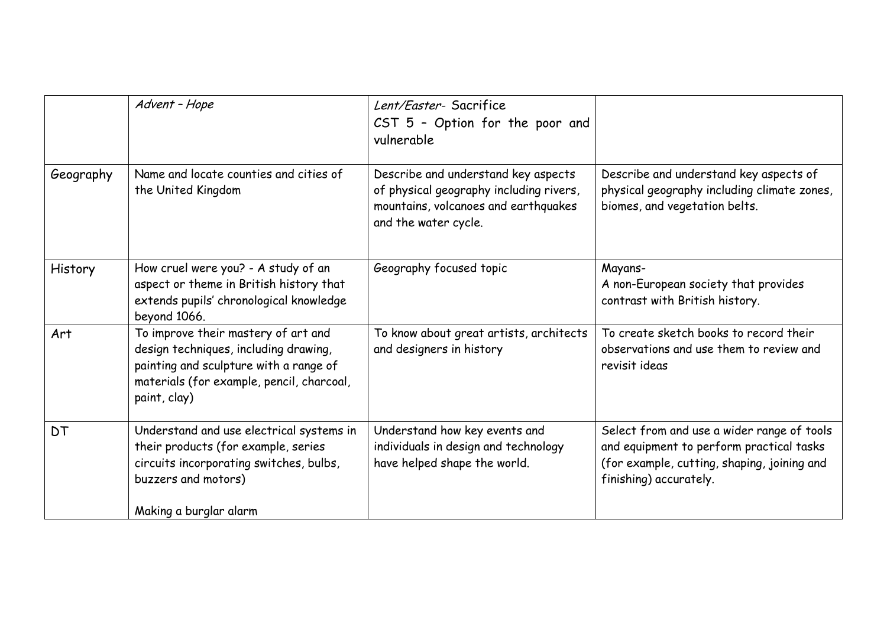|           | Advent - Hope                                                                                                                                                                       | Lent/Easter-Sacrifice<br>$CST$ 5 - Option for the poor and<br>vulnerable                                                                       |                                                                                                                                                                 |
|-----------|-------------------------------------------------------------------------------------------------------------------------------------------------------------------------------------|------------------------------------------------------------------------------------------------------------------------------------------------|-----------------------------------------------------------------------------------------------------------------------------------------------------------------|
| Geography | Name and locate counties and cities of<br>the United Kingdom                                                                                                                        | Describe and understand key aspects<br>of physical geography including rivers,<br>mountains, volcanoes and earthquakes<br>and the water cycle. | Describe and understand key aspects of<br>physical geography including climate zones,<br>biomes, and vegetation belts.                                          |
| History   | How cruel were you? - A study of an<br>aspect or theme in British history that<br>extends pupils' chronological knowledge<br>beyond 1066.                                           | Geography focused topic                                                                                                                        | Mayans-<br>A non-European society that provides<br>contrast with British history.                                                                               |
| Art       | To improve their mastery of art and<br>design techniques, including drawing,<br>painting and sculpture with a range of<br>materials (for example, pencil, charcoal,<br>paint, clay) | To know about great artists, architects<br>and designers in history                                                                            | To create sketch books to record their<br>observations and use them to review and<br>revisit ideas                                                              |
| DT        | Understand and use electrical systems in<br>their products (for example, series<br>circuits incorporating switches, bulbs,<br>buzzers and motors)                                   | Understand how key events and<br>individuals in design and technology<br>have helped shape the world.                                          | Select from and use a wider range of tools<br>and equipment to perform practical tasks<br>(for example, cutting, shaping, joining and<br>finishing) accurately. |
|           | Making a burglar alarm                                                                                                                                                              |                                                                                                                                                |                                                                                                                                                                 |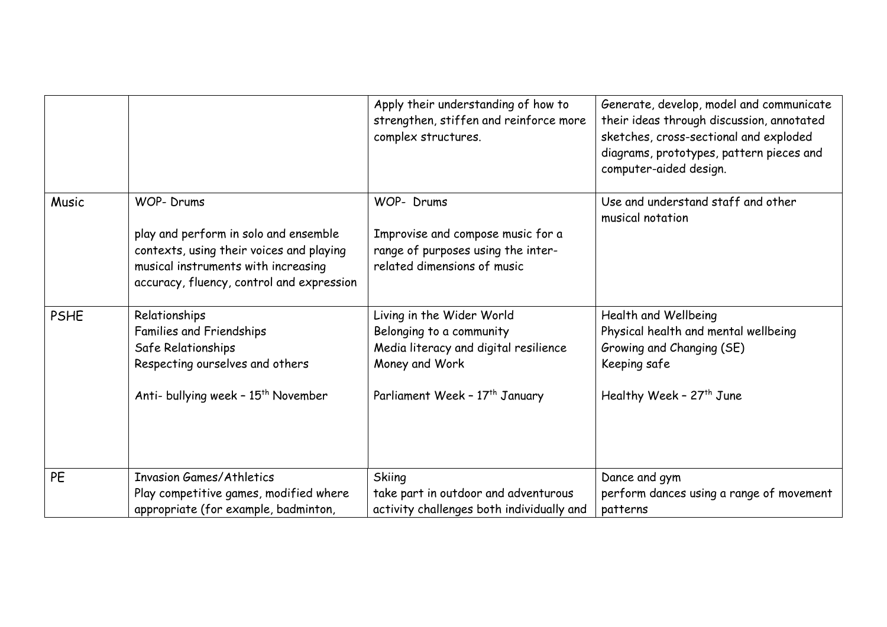|             |                                                                                                                                                                       | Apply their understanding of how to<br>strengthen, stiffen and reinforce more<br>complex structures.                                                           | Generate, develop, model and communicate<br>their ideas through discussion, annotated<br>sketches, cross-sectional and exploded<br>diagrams, prototypes, pattern pieces and<br>computer-aided design. |
|-------------|-----------------------------------------------------------------------------------------------------------------------------------------------------------------------|----------------------------------------------------------------------------------------------------------------------------------------------------------------|-------------------------------------------------------------------------------------------------------------------------------------------------------------------------------------------------------|
| Music       | <b>WOP-Drums</b>                                                                                                                                                      | WOP- Drums                                                                                                                                                     | Use and understand staff and other<br>musical notation                                                                                                                                                |
|             | play and perform in solo and ensemble<br>contexts, using their voices and playing<br>musical instruments with increasing<br>accuracy, fluency, control and expression | Improvise and compose music for a<br>range of purposes using the inter-<br>related dimensions of music                                                         |                                                                                                                                                                                                       |
| <b>PSHE</b> | Relationships<br>Families and Friendships<br>Safe Relationships<br>Respecting ourselves and others<br>Anti- bullying week - 15 <sup>th</sup> November                 | Living in the Wider World<br>Belonging to a community<br>Media literacy and digital resilience<br>Money and Work<br>Parliament Week - 17 <sup>th</sup> January | Health and Wellbeing<br>Physical health and mental wellbeing<br>Growing and Changing (SE)<br>Keeping safe<br>Healthy Week - 27 <sup>th</sup> June                                                     |
|             |                                                                                                                                                                       |                                                                                                                                                                |                                                                                                                                                                                                       |
| <b>PE</b>   | <b>Invasion Games/Athletics</b>                                                                                                                                       | Skiing                                                                                                                                                         | Dance and gym                                                                                                                                                                                         |
|             | Play competitive games, modified where<br>appropriate (for example, badminton,                                                                                        | take part in outdoor and adventurous<br>activity challenges both individually and                                                                              | perform dances using a range of movement<br>patterns                                                                                                                                                  |